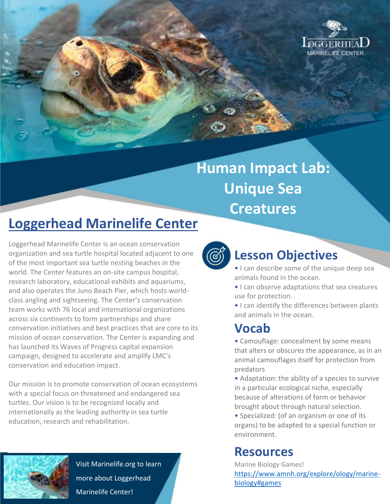

# **Human Impact Lab: Unique Sea Creatures**

## **Loggerhead Marinelife Center**

Loggerhead Marinelife Center is an ocean conservation organization and sea turtle hospital located adjacent to one of the most important sea turtle nesting beaches in the world. The Center features an on-site campus hospital, research laboratory, educational exhibits and aquariums, and also operates the Juno Beach Pier, which hosts worldclass angling and sightseeing. The Center's conservation team works with 76 local and international organizations across six continents to form partnerships and share conservation initiatives and best practices that are core to its mission of ocean conservation. The Center is expanding and has launched its Waves of Progress capital expansion campaign, designed to accelerate and amplify LMC's conservation and education impact.

Our mission is to promote conservation of ocean ecosystems with a special focus on threatened and endangered sea turtles. Our vision is to be recognized locally and internationally as the leading authority in sea turtle education, research and rehabilitation.



Visit Marinelife.org to learn more about Loggerhead Marinelife Center!



### **Lesson Objectives**

- I can describe some of the unique deep sea animals found in the ocean.
- I can observe adaptations that sea creatures use for protection.
- I can identify the differences between plants and animals in the ocean.

#### **Vocab**

• Camouflage: concealment by some means that alters or obscures the appearance, as in an animal camouflages itself for protection from predators

• Adaptation: the ability of a species to survive in a particular ecological niche, especially because of alterations of form or behavior brought about through natural selection.

• Specialized: (of an organism or one of its organs) to be adapted to a special function or environment.

#### **Resources**

Marine Biology Games! [https://www.amnh.org/explore/ology/marine](https://www.amnh.org/explore/ology/marine-biology#games)[biology#games](https://www.amnh.org/explore/ology/marine-biology#games)